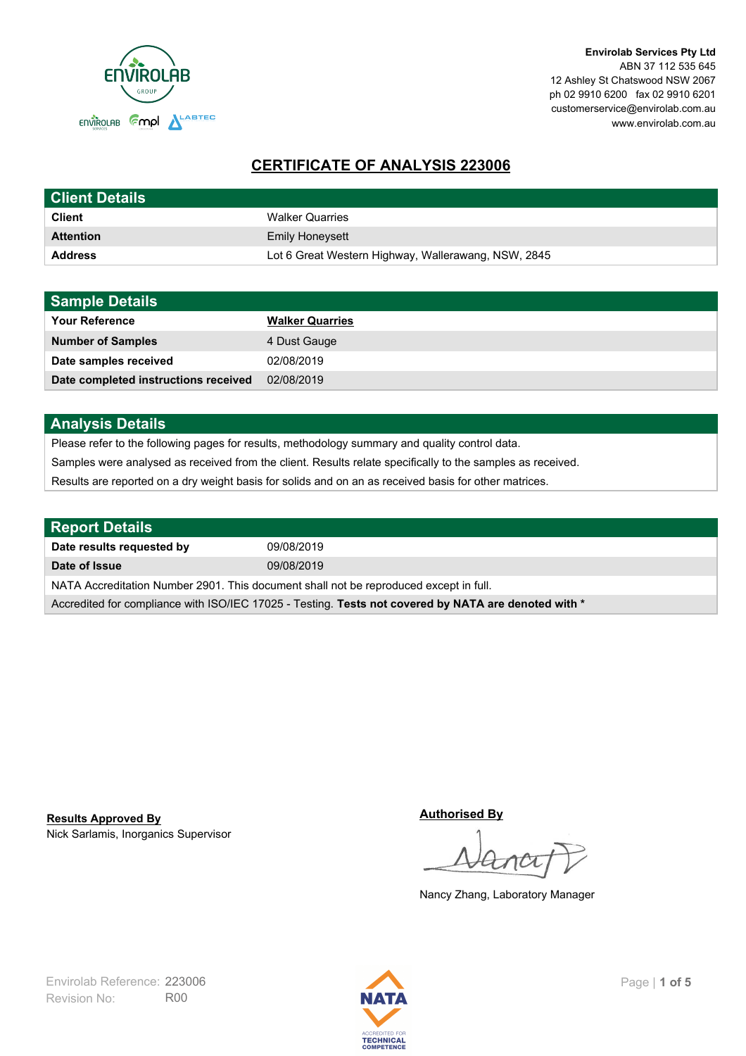

# **CERTIFICATE OF ANALYSIS 223006**

| <b>Client Details</b> |                                                     |
|-----------------------|-----------------------------------------------------|
| <b>Client</b>         | <b>Walker Quarries</b>                              |
| <b>Attention</b>      | <b>Emily Honeysett</b>                              |
| <b>Address</b>        | Lot 6 Great Western Highway, Wallerawang, NSW, 2845 |

| <b>Sample Details</b>                |                        |
|--------------------------------------|------------------------|
| <b>Your Reference</b>                | <b>Walker Quarries</b> |
| <b>Number of Samples</b>             | 4 Dust Gauge           |
| Date samples received                | 02/08/2019             |
| Date completed instructions received | 02/08/2019             |

## **Analysis Details**

Please refer to the following pages for results, methodology summary and quality control data.

Samples were analysed as received from the client. Results relate specifically to the samples as received.

Results are reported on a dry weight basis for solids and on an as received basis for other matrices.

| <b>Report Details</b>                                                                                |            |  |
|------------------------------------------------------------------------------------------------------|------------|--|
| Date results requested by                                                                            | 09/08/2019 |  |
| Date of Issue                                                                                        | 09/08/2019 |  |
| NATA Accreditation Number 2901. This document shall not be reproduced except in full.                |            |  |
| Accredited for compliance with ISO/IEC 17025 - Testing. Tests not covered by NATA are denoted with * |            |  |

Nick Sarlamis, Inorganics Supervisor **Results Approved By**

**Authorised By**

Nancy Zhang, Laboratory Manager

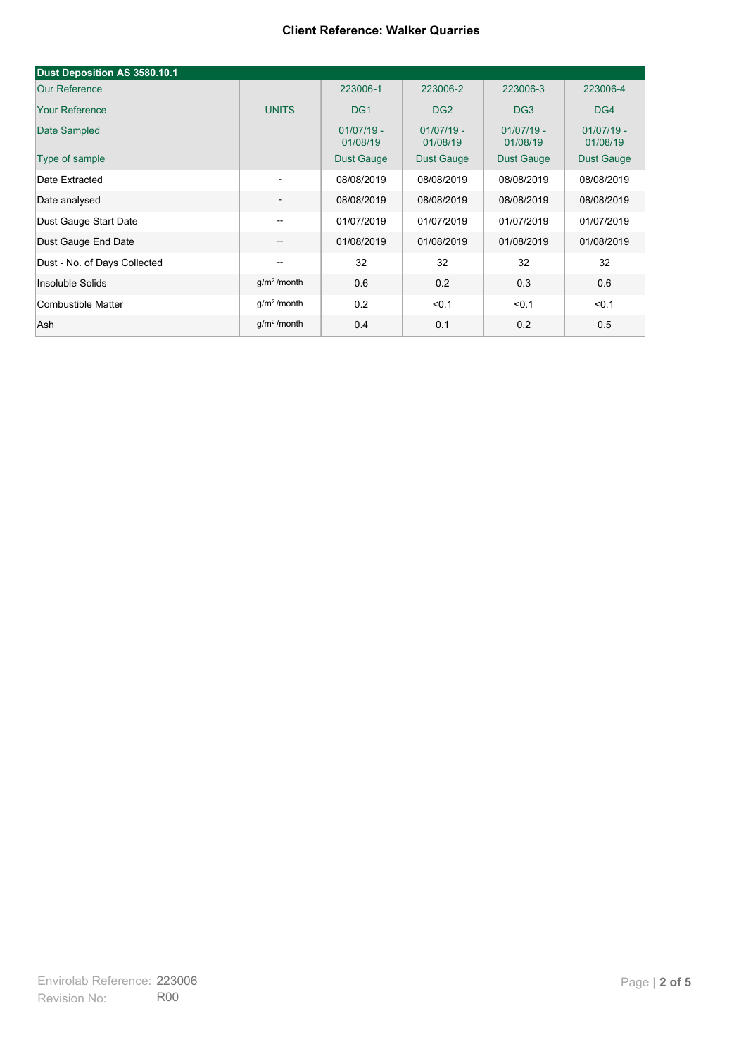#### **Client Reference: Walker Quarries**

| Dust Deposition AS 3580.10.1 |                          |                          |                          |                          |                          |
|------------------------------|--------------------------|--------------------------|--------------------------|--------------------------|--------------------------|
| <b>Our Reference</b>         |                          | 223006-1                 | 223006-2                 | 223006-3                 | 223006-4                 |
| <b>Your Reference</b>        | <b>UNITS</b>             | DG <sub>1</sub>          | DG <sub>2</sub>          | DG <sub>3</sub>          | DG4                      |
| Date Sampled                 |                          | $01/07/19 -$<br>01/08/19 | $01/07/19 -$<br>01/08/19 | $01/07/19 -$<br>01/08/19 | $01/07/19 -$<br>01/08/19 |
| Type of sample               |                          | <b>Dust Gauge</b>        | <b>Dust Gauge</b>        | <b>Dust Gauge</b>        | Dust Gauge               |
| Date Extracted               | $\overline{\phantom{a}}$ | 08/08/2019               | 08/08/2019               | 08/08/2019               | 08/08/2019               |
| Date analysed                | -                        | 08/08/2019               | 08/08/2019               | 08/08/2019               | 08/08/2019               |
| Dust Gauge Start Date        | --                       | 01/07/2019               | 01/07/2019               | 01/07/2019               | 01/07/2019               |
| Dust Gauge End Date          | $\overline{\phantom{a}}$ | 01/08/2019               | 01/08/2019               | 01/08/2019               | 01/08/2019               |
| Dust - No. of Days Collected | $\overline{\phantom{m}}$ | 32                       | 32                       | 32                       | 32                       |
| Insoluble Solids             | g/m <sup>2</sup> /month  | 0.6                      | 0.2                      | 0.3                      | 0.6                      |
| Combustible Matter           | g/m <sup>2</sup> /month  | 0.2                      | < 0.1                    | < 0.1                    | < 0.1                    |
| Ash                          | g/m <sup>2</sup> /month  | 0.4                      | 0.1                      | 0.2                      | 0.5                      |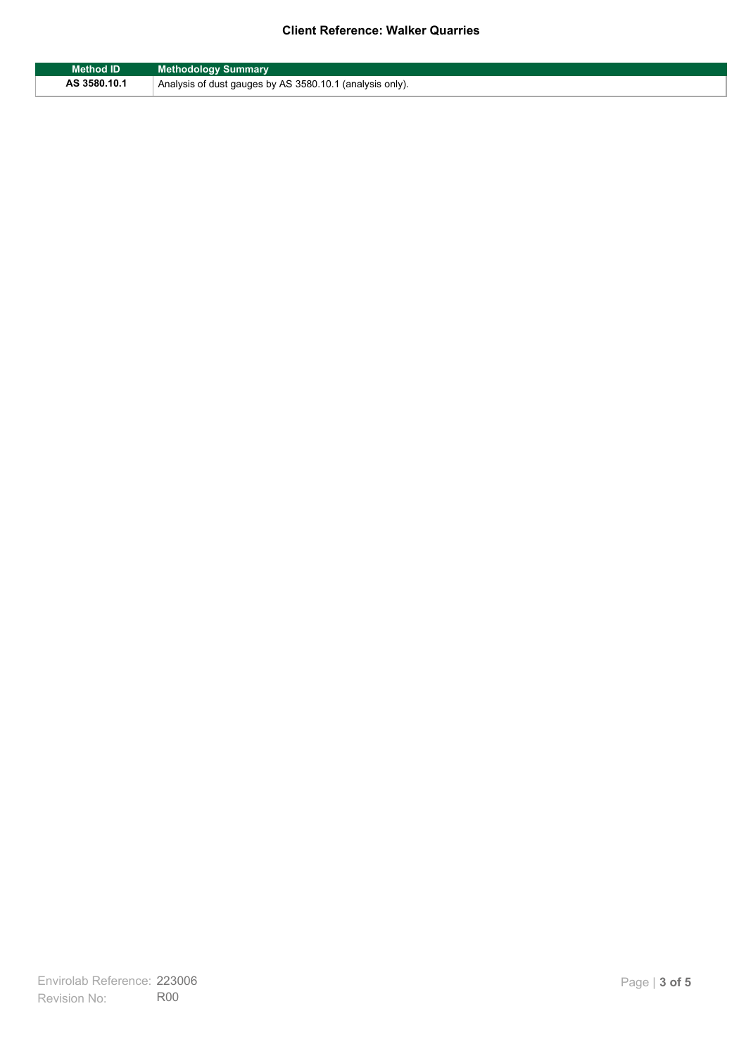### **Client Reference: Walker Quarries**

| <b>Method ID</b> | <b>Methodology Summary</b>                               |
|------------------|----------------------------------------------------------|
| AS 3580.10.1     | Analysis of dust gauges by AS 3580.10.1 (analysis only). |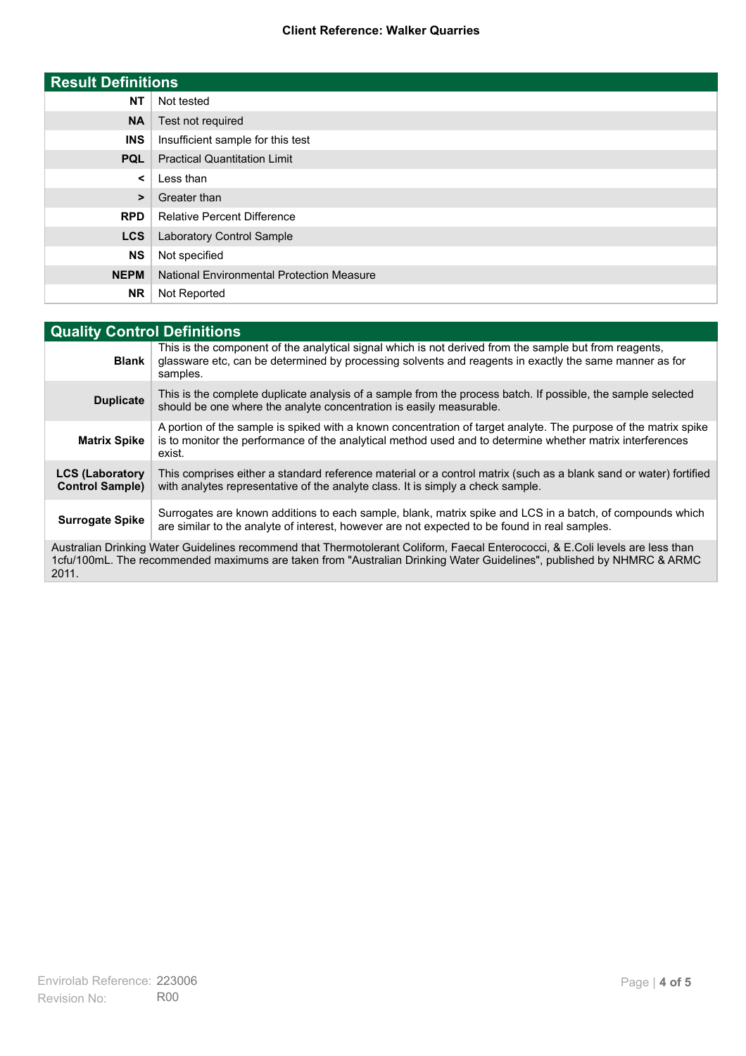#### **Client Reference: Walker Quarries**

| <b>Result Definitions</b> |                                                  |
|---------------------------|--------------------------------------------------|
| <b>NT</b>                 | Not tested                                       |
| <b>NA</b>                 | Test not required                                |
| <b>INS</b>                | Insufficient sample for this test                |
| <b>PQL</b>                | <b>Practical Quantitation Limit</b>              |
| $\prec$                   | Less than                                        |
| >                         | Greater than                                     |
| <b>RPD</b>                | <b>Relative Percent Difference</b>               |
| <b>LCS</b>                | <b>Laboratory Control Sample</b>                 |
| <b>NS</b>                 | Not specified                                    |
| <b>NEPM</b>               | <b>National Environmental Protection Measure</b> |
| <b>NR</b>                 | Not Reported                                     |

| <b>Quality Control Definitions</b>                                                                                                                                                                                                                      |                                                                                                                                                                                                                                        |
|---------------------------------------------------------------------------------------------------------------------------------------------------------------------------------------------------------------------------------------------------------|----------------------------------------------------------------------------------------------------------------------------------------------------------------------------------------------------------------------------------------|
| <b>Blank</b>                                                                                                                                                                                                                                            | This is the component of the analytical signal which is not derived from the sample but from reagents,<br>glassware etc, can be determined by processing solvents and reagents in exactly the same manner as for<br>samples.           |
| <b>Duplicate</b>                                                                                                                                                                                                                                        | This is the complete duplicate analysis of a sample from the process batch. If possible, the sample selected<br>should be one where the analyte concentration is easily measurable.                                                    |
| <b>Matrix Spike</b>                                                                                                                                                                                                                                     | A portion of the sample is spiked with a known concentration of target analyte. The purpose of the matrix spike<br>is to monitor the performance of the analytical method used and to determine whether matrix interferences<br>exist. |
| <b>LCS (Laboratory</b><br><b>Control Sample)</b>                                                                                                                                                                                                        | This comprises either a standard reference material or a control matrix (such as a blank sand or water) fortified<br>with analytes representative of the analyte class. It is simply a check sample.                                   |
| <b>Surrogate Spike</b>                                                                                                                                                                                                                                  | Surrogates are known additions to each sample, blank, matrix spike and LCS in a batch, of compounds which<br>are similar to the analyte of interest, however are not expected to be found in real samples.                             |
| Australian Drinking Water Guidelines recommend that Thermotolerant Coliform, Faecal Enterococci, & E.Coli levels are less than<br>1cfu/100mL. The recommended maximums are taken from "Australian Drinking Water Guidelines", published by NHMRC & ARMC |                                                                                                                                                                                                                                        |

2011.